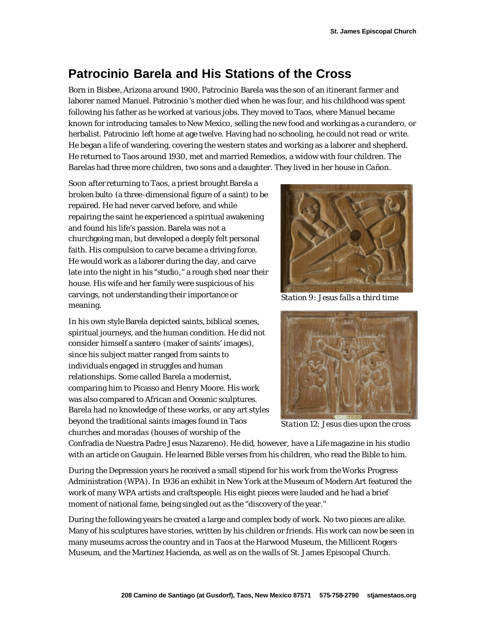## **Patrocinio Barela and His Stations of the Cross**

Born in Bisbee, Arizona around 1900, Patrocinio Barela was the son of an itinerant farmer and laborer named Manuel. Patrocinio 's mother died when he was four, and his childhood was spent following his father as he worked at various jobs. They moved to Taos, where Manuel became known for introducing tamales to New Mexico, selling the new food and working as a *curandero,* or herbalist. Patrocinio left home at age twelve. Having had no schooling, he could not read or write. He began a life of wandering, covering the western states and working as a laborer and shepherd. He returned to Taos around 1930, met and married Remedios, a widow with four children. The Barelas had three more children, two sons and a daughter. They lived in her house in Cañon.

Soon after returning to Taos, a priest brought Barela a broken *bulto* (a three-dimensional figure of a saint) to be repaired. He had never carved before, and while repairing the saint he experienced a spiritual awakening and found his life's passion. Barela was not a churchgoing man, but developed a deeply felt personal faith. His compulsion to carve became a driving force. He would work as a laborer during the day, and carve late into the night in his "studio," a rough shed near their house. His wife and her family were suspicious of his carvings, not understanding their importance or meaning.

In his own style Barela depicted saints, biblical scenes, spiritual journeys, and the human condition. He did not consider himself a *santero* (maker of saints' images), since his subject matter ranged from saints to individuals engaged in struggles and human relationships. Some called Barela a modernist, comparing him to Picasso and Henry Moore. His work was also compared to African and Oceanic sculptures. Barela had no knowledge of these works, or any art styles beyond the traditional saints images found in Taos churches and *moradas* (houses of worship of the



*Station 9: Jesus falls a third time*



*Station 12: Jesus dies upon the cross*

Confradia de Nuestra Padre Jesus Nazareno). He did, however, have a *Life* magazine in his studio with an article on Gauguin. He learned Bible verses from his children, who read the Bible to him.

During the Depression years he received a small stipend for his work from the Works Progress Administration (WPA). In 1936 an exhibit in New York at the Museum of Modern Art featured the work of many WPA artists and craftspeople. His eight pieces were lauded and he had a brief moment of national fame, being singled out as the "discovery of the year."

During the following years he created a large and complex body of work. No two pieces are alike. Many of his sculptures have stories, written by his children or friends. His work can now be seen in many museums across the country and in Taos at the Harwood Museum, the Millicent Rogers Museum, and the Martinez Hacienda, as well as on the walls of St. James Episcopal Church.